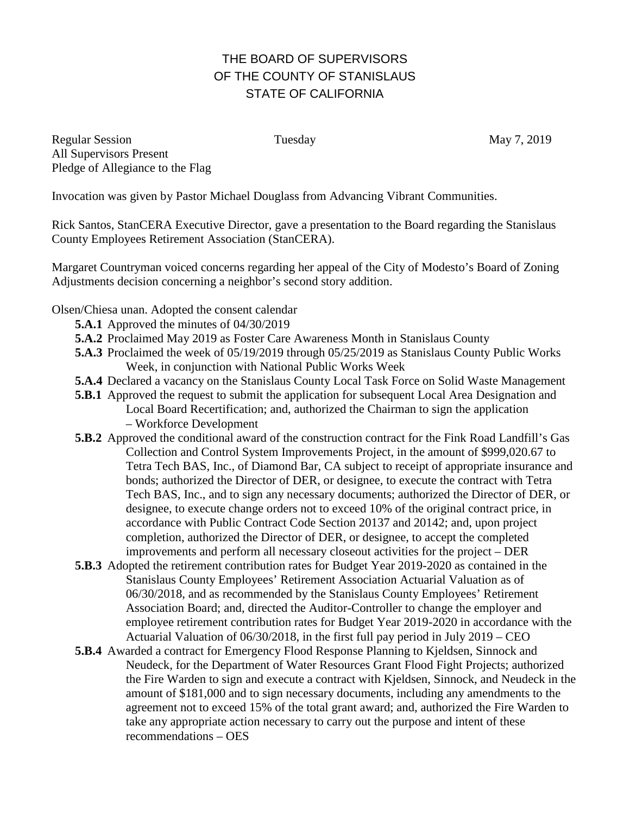## THE BOARD OF SUPERVISORS OF THE COUNTY OF STANISLAUS STATE OF CALIFORNIA

Regular Session Tuesday May 7, 2019 All Supervisors Present Pledge of Allegiance to the Flag

Invocation was given by Pastor Michael Douglass from Advancing Vibrant Communities.

Rick Santos, StanCERA Executive Director, gave a presentation to the Board regarding the Stanislaus County Employees Retirement Association (StanCERA).

Margaret Countryman voiced concerns regarding her appeal of the City of Modesto's Board of Zoning Adjustments decision concerning a neighbor's second story addition.

Olsen/Chiesa unan. Adopted the consent calendar

- **5.A.1** Approved the minutes of 04/30/2019
- **5.A.2** Proclaimed May 2019 as Foster Care Awareness Month in Stanislaus County
- **5.A.3** Proclaimed the week of 05/19/2019 through 05/25/2019 as Stanislaus County Public Works Week, in conjunction with National Public Works Week
- **5.A.4** Declared a vacancy on the Stanislaus County Local Task Force on Solid Waste Management
- **5.B.1** Approved the request to submit the application for subsequent Local Area Designation and Local Board Recertification; and, authorized the Chairman to sign the application – Workforce Development
- **5.B.2** Approved the conditional award of the construction contract for the Fink Road Landfill's Gas Collection and Control System Improvements Project, in the amount of \$999,020.67 to Tetra Tech BAS, Inc., of Diamond Bar, CA subject to receipt of appropriate insurance and bonds; authorized the Director of DER, or designee, to execute the contract with Tetra Tech BAS, Inc., and to sign any necessary documents; authorized the Director of DER, or designee, to execute change orders not to exceed 10% of the original contract price, in accordance with Public Contract Code Section 20137 and 20142; and, upon project completion, authorized the Director of DER, or designee, to accept the completed improvements and perform all necessary closeout activities for the project – DER
- **5.B.3** Adopted the retirement contribution rates for Budget Year 2019-2020 as contained in the Stanislaus County Employees' Retirement Association Actuarial Valuation as of 06/30/2018, and as recommended by the Stanislaus County Employees' Retirement Association Board; and, directed the Auditor-Controller to change the employer and employee retirement contribution rates for Budget Year 2019-2020 in accordance with the Actuarial Valuation of 06/30/2018, in the first full pay period in July 2019 – CEO
- **5.B.4** Awarded a contract for Emergency Flood Response Planning to Kjeldsen, Sinnock and Neudeck, for the Department of Water Resources Grant Flood Fight Projects; authorized the Fire Warden to sign and execute a contract with Kjeldsen, Sinnock, and Neudeck in the amount of \$181,000 and to sign necessary documents, including any amendments to the agreement not to exceed 15% of the total grant award; and, authorized the Fire Warden to take any appropriate action necessary to carry out the purpose and intent of these recommendations – OES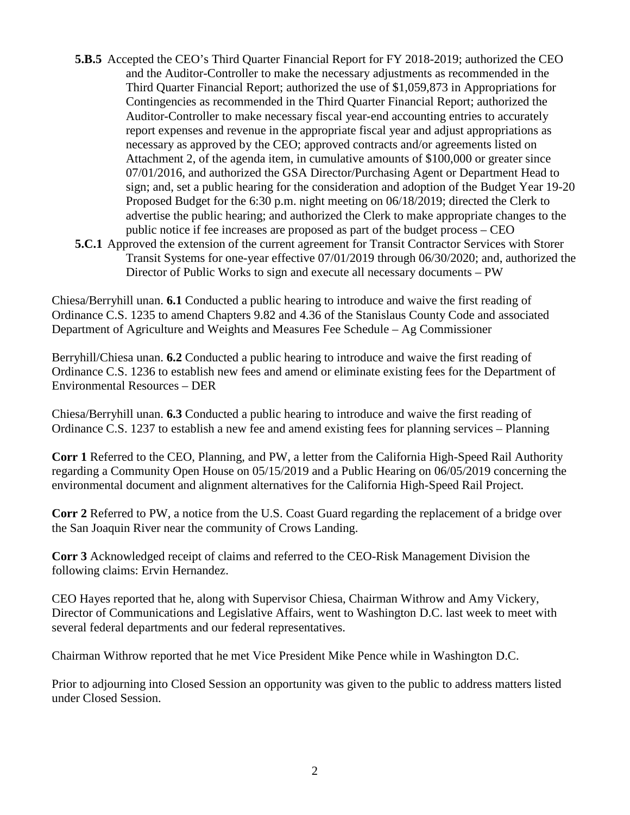- **5.B.5** Accepted the CEO's Third Quarter Financial Report for FY 2018-2019; authorized the CEO and the Auditor-Controller to make the necessary adjustments as recommended in the Third Quarter Financial Report; authorized the use of \$1,059,873 in Appropriations for Contingencies as recommended in the Third Quarter Financial Report; authorized the Auditor-Controller to make necessary fiscal year-end accounting entries to accurately report expenses and revenue in the appropriate fiscal year and adjust appropriations as necessary as approved by the CEO; approved contracts and/or agreements listed on Attachment 2, of the agenda item, in cumulative amounts of \$100,000 or greater since 07/01/2016, and authorized the GSA Director/Purchasing Agent or Department Head to sign; and, set a public hearing for the consideration and adoption of the Budget Year 19-20 Proposed Budget for the 6:30 p.m. night meeting on 06/18/2019; directed the Clerk to advertise the public hearing; and authorized the Clerk to make appropriate changes to the public notice if fee increases are proposed as part of the budget process – CEO **5.C.1** Approved the extension of the current agreement for Transit Contractor Services with Storer
	- Transit Systems for one-year effective 07/01/2019 through 06/30/2020; and, authorized the Director of Public Works to sign and execute all necessary documents – PW

Chiesa/Berryhill unan. **6.1** Conducted a public hearing to introduce and waive the first reading of Ordinance C.S. 1235 to amend Chapters 9.82 and 4.36 of the Stanislaus County Code and associated Department of Agriculture and Weights and Measures Fee Schedule – Ag Commissioner

Berryhill/Chiesa unan. **6.2** Conducted a public hearing to introduce and waive the first reading of Ordinance C.S. 1236 to establish new fees and amend or eliminate existing fees for the Department of Environmental Resources – DER

Chiesa/Berryhill unan. **6.3** Conducted a public hearing to introduce and waive the first reading of Ordinance C.S. 1237 to establish a new fee and amend existing fees for planning services – Planning

**Corr 1** Referred to the CEO, Planning, and PW, a letter from the California High-Speed Rail Authority regarding a Community Open House on 05/15/2019 and a Public Hearing on 06/05/2019 concerning the environmental document and alignment alternatives for the California High-Speed Rail Project.

**Corr 2** Referred to PW, a notice from the U.S. Coast Guard regarding the replacement of a bridge over the San Joaquin River near the community of Crows Landing.

**Corr 3** Acknowledged receipt of claims and referred to the CEO-Risk Management Division the following claims: Ervin Hernandez.

CEO Hayes reported that he, along with Supervisor Chiesa, Chairman Withrow and Amy Vickery, Director of Communications and Legislative Affairs, went to Washington D.C. last week to meet with several federal departments and our federal representatives.

Chairman Withrow reported that he met Vice President Mike Pence while in Washington D.C.

Prior to adjourning into Closed Session an opportunity was given to the public to address matters listed under Closed Session.